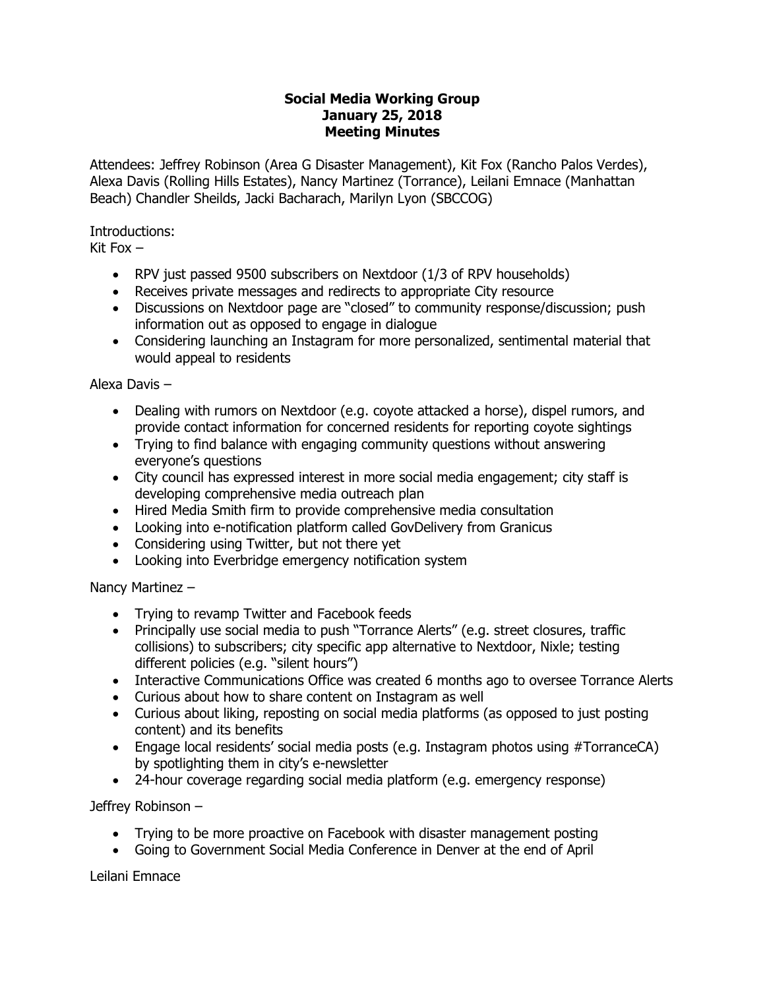## **Social Media Working Group January 25, 2018 Meeting Minutes**

Attendees: Jeffrey Robinson (Area G Disaster Management), Kit Fox (Rancho Palos Verdes), Alexa Davis (Rolling Hills Estates), Nancy Martinez (Torrance), Leilani Emnace (Manhattan Beach) Chandler Sheilds, Jacki Bacharach, Marilyn Lyon (SBCCOG)

Introductions:

Kit Fox  $-$ 

- RPV just passed 9500 subscribers on Nextdoor (1/3 of RPV households)
- Receives private messages and redirects to appropriate City resource
- Discussions on Nextdoor page are "closed" to community response/discussion; push information out as opposed to engage in dialogue
- Considering launching an Instagram for more personalized, sentimental material that would appeal to residents

Alexa Davis –

- Dealing with rumors on Nextdoor (e.g. coyote attacked a horse), dispel rumors, and provide contact information for concerned residents for reporting coyote sightings
- Trying to find balance with engaging community questions without answering everyone's questions
- City council has expressed interest in more social media engagement; city staff is developing comprehensive media outreach plan
- Hired Media Smith firm to provide comprehensive media consultation
- Looking into e-notification platform called GovDelivery from Granicus
- Considering using Twitter, but not there yet
- Looking into Everbridge emergency notification system

Nancy Martinez –

- Trying to revamp Twitter and Facebook feeds
- Principally use social media to push "Torrance Alerts" (e.g. street closures, traffic collisions) to subscribers; city specific app alternative to Nextdoor, Nixle; testing different policies (e.g. "silent hours")
- Interactive Communications Office was created 6 months ago to oversee Torrance Alerts
- Curious about how to share content on Instagram as well
- Curious about liking, reposting on social media platforms (as opposed to just posting content) and its benefits
- Engage local residents' social media posts (e.g. Instagram photos using #TorranceCA) by spotlighting them in city's e-newsletter
- 24-hour coverage regarding social media platform (e.g. emergency response)

Jeffrey Robinson –

- Trying to be more proactive on Facebook with disaster management posting
- Going to Government Social Media Conference in Denver at the end of April

Leilani Emnace